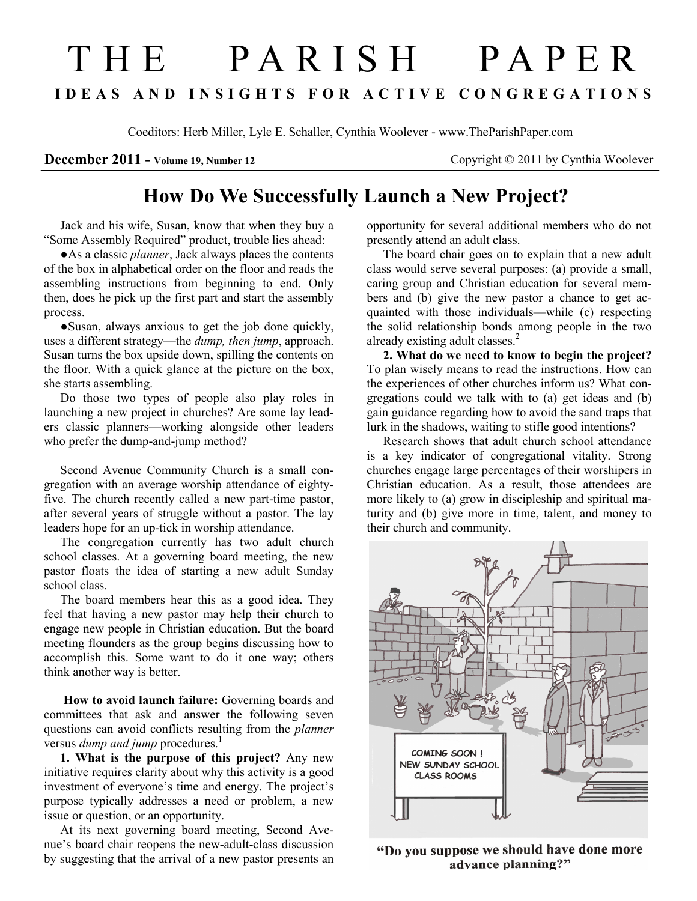## T H E P A R I S H P A P E R I D E A S A N D I N S I G H T S F O R A C T I V E C O N G R E G A T I O N S

Coeditors: Herb Miller, Lyle E. Schaller, Cynthia Woolever - www.TheParishPaper.com

December 2011 - Volume 19, Number 12 Copyright © 2011 by Cynthia Woolever

## How Do We Successfully Launch a New Project?

Jack and his wife, Susan, know that when they buy a "Some Assembly Required" product, trouble lies ahead:

●As a classic *planner*, Jack always places the contents of the box in alphabetical order on the floor and reads the assembling instructions from beginning to end. Only then, does he pick up the first part and start the assembly process.

●Susan, always anxious to get the job done quickly, uses a different strategy—the *dump*, then jump, approach. Susan turns the box upside down, spilling the contents on the floor. With a quick glance at the picture on the box, she starts assembling.

Do those two types of people also play roles in launching a new project in churches? Are some lay leaders classic planners—working alongside other leaders who prefer the dump-and-jump method?

Second Avenue Community Church is a small congregation with an average worship attendance of eightyfive. The church recently called a new part-time pastor, after several years of struggle without a pastor. The lay leaders hope for an up-tick in worship attendance.

The congregation currently has two adult church school classes. At a governing board meeting, the new pastor floats the idea of starting a new adult Sunday school class.

The board members hear this as a good idea. They feel that having a new pastor may help their church to engage new people in Christian education. But the board meeting flounders as the group begins discussing how to accomplish this. Some want to do it one way; others think another way is better.

How to avoid launch failure: Governing boards and committees that ask and answer the following seven questions can avoid conflicts resulting from the planner versus *dump and jump* procedures.<sup>1</sup>

1. What is the purpose of this project? Any new initiative requires clarity about why this activity is a good investment of everyone's time and energy. The project's purpose typically addresses a need or problem, a new issue or question, or an opportunity.

At its next governing board meeting, Second Avenue's board chair reopens the new-adult-class discussion by suggesting that the arrival of a new pastor presents an

opportunity for several additional members who do not presently attend an adult class.

The board chair goes on to explain that a new adult class would serve several purposes: (a) provide a small, caring group and Christian education for several members and (b) give the new pastor a chance to get acquainted with those individuals—while (c) respecting the solid relationship bonds among people in the two already existing adult classes.<sup>2</sup>

2. What do we need to know to begin the project? To plan wisely means to read the instructions. How can the experiences of other churches inform us? What congregations could we talk with to (a) get ideas and (b) gain guidance regarding how to avoid the sand traps that lurk in the shadows, waiting to stifle good intentions?

Research shows that adult church school attendance is a key indicator of congregational vitality. Strong churches engage large percentages of their worshipers in Christian education. As a result, those attendees are more likely to (a) grow in discipleship and spiritual maturity and (b) give more in time, talent, and money to their church and community.



"Do you suppose we should have done more advance planning?"